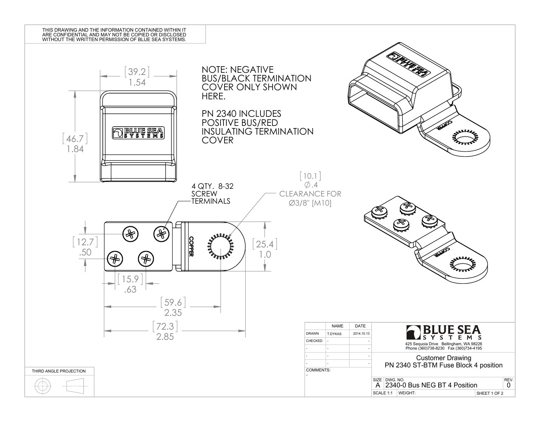